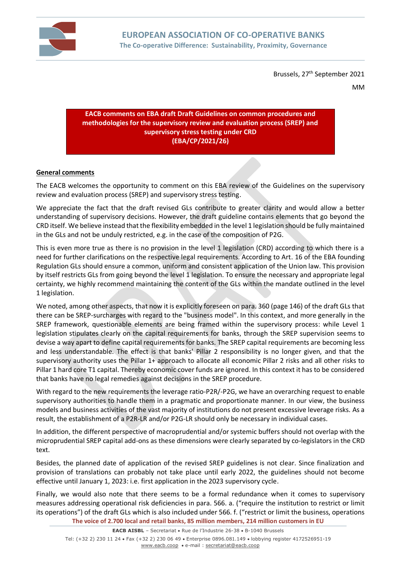

Brussels, 27<sup>th</sup> September 2021

MM

### **EACB comments on EBA draft Draft Guidelines on common procedures and methodologies for the supervisory review and evaluation process (SREP) and supervisory stress testing under CRD (EBA/CP/2021/26)**

# **General comments**

The EACB welcomes the opportunity to comment on this EBA review of the Guidelines on the supervisory review and evaluation process (SREP) and supervisory stress testing.

We appreciate the fact that the draft revised GLs contribute to greater clarity and would allow a better understanding of supervisory decisions. However, the draft guideline contains elements that go beyond the CRD itself. We believe instead that the flexibility embedded in the level 1 legislation should be fully maintained in the GLs and not be unduly restricted, e.g. in the case of the composition of P2G.

This is even more true as there is no provision in the level 1 legislation (CRD) according to which there is a need for further clarifications on the respective legal requirements. According to Art. 16 of the EBA founding Regulation GLs should ensure a common, uniform and consistent application of the Union law. This provision by itself restricts GLs from going beyond the level 1 legislation. To ensure the necessary and appropriate legal certainty, we highly recommend maintaining the content of the GLs within the mandate outlined in the level 1 legislation.

We noted, among other aspects, that now it is explicitly foreseen on para. 360 (page 146) of the draft GLs that there can be SREP-surcharges with regard to the "business model". In this context, and more generally in the SREP framework, questionable elements are being framed within the supervisory process: while Level 1 legislation stipulates clearly on the capital requirements for banks, through the SREP supervision seems to devise a way apart to define capital requirements for banks. The SREP capital requirements are becoming less and less understandable. The effect is that banks' Pillar 2 responsibility is no longer given, and that the supervisory authority uses the Pillar 1+ approach to allocate all economic Pillar 2 risks and all other risks to Pillar 1 hard core T1 capital. Thereby economic cover funds are ignored. In this context it has to be considered that banks have no legal remedies against decisions in the SREP procedure.

With regard to the new requirements the leverage ratio-P2R/-P2G, we have an overarching request to enable supervisory authorities to handle them in a pragmatic and proportionate manner. In our view, the business models and business activities of the vast majority of institutions do not present excessive leverage risks. As a result, the establishment of a P2R-LR and/or P2G-LR should only be necessary in individual cases.

In addition, the different perspective of macroprudential and/or systemic buffers should not overlap with the microprudential SREP capital add-ons as these dimensions were clearly separated by co-legislators in the CRD text.

Besides, the planned date of application of the revised SREP guidelines is not clear. Since finalization and provision of translations can probably not take place until early 2022, the guidelines should not become effective until January 1, 2023: i.e. first application in the 2023 supervisory cycle.

**The voice of 2.700 local and retail banks, 85 million members, 214 million customers in EU** Finally, we would also note that there seems to be a formal redundance when it comes to supervisory measures addressing operational risk deficiencies in para. 566. a. ("require the institution to restrict or limit its operations") of the draft GLs which is also included under 566. f. ("restrict or limit the business, operations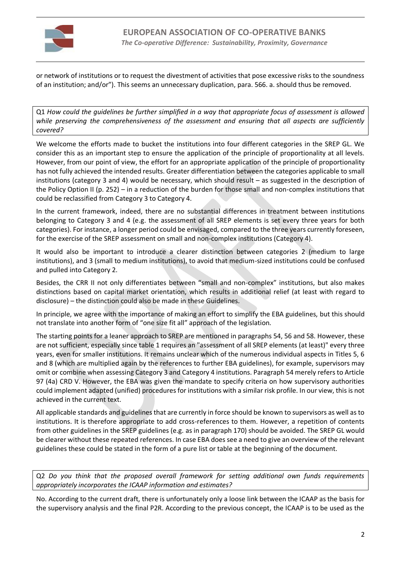

or network of institutions or to request the divestment of activities that pose excessive risks to the soundness of an institution; and/or"). This seems an unnecessary duplication, para. 566. a. should thus be removed.

Q1 *How could the guidelines be further simplified in a way that appropriate focus of assessment is allowed while preserving the comprehensiveness of the assessment and ensuring that all aspects are sufficiently covered?*

We welcome the efforts made to bucket the institutions into four different categories in the SREP GL. We consider this as an important step to ensure the application of the principle of proportionality at all levels. However, from our point of view, the effort for an appropriate application of the principle of proportionality has not fully achieved the intended results. Greater differentiation between the categories applicable to small institutions (category 3 and 4) would be necessary, which should result – as suggested in the description of the Policy Option II (p. 252) – in a reduction of the burden for those small and non-complex institutions that could be reclassified from Category 3 to Category 4.

In the current framework, indeed, there are no substantial differences in treatment between institutions belonging to Category 3 and 4 (e.g. the assessment of all SREP elements is set every three years for both categories). For instance, a longer period could be envisaged, compared to the three years currently foreseen, for the exercise of the SREP assessment on small and non-complex institutions (Category 4).

It would also be important to introduce a clearer distinction between categories 2 (medium to large institutions), and 3 (small to medium institutions), to avoid that medium-sized institutions could be confused and pulled into Category 2.

Besides, the CRR II not only differentiates between "small and non-complex" institutions, but also makes distinctions based on capital market orientation, which results in additional relief (at least with regard to disclosure) – the distinction could also be made in these Guidelines.

In principle, we agree with the importance of making an effort to simplify the EBA guidelines, but this should not translate into another form of "one size fit all" approach of the legislation.

The starting points for a leaner approach to SREP are mentioned in paragraphs 54, 56 and 58. However, these are not sufficient, especially since table 1 requires an "assessment of all SREP elements (at least)" every three years, even for smaller institutions. It remains unclear which of the numerous individual aspects in Titles 5, 6 and 8 (which are multiplied again by the references to further EBA guidelines), for example, supervisors may omit or combine when assessing Category 3 and Category 4 institutions. Paragraph 54 merely refers to Article 97 (4a) CRD V. However, the EBA was given the mandate to specify criteria on how supervisory authorities could implement adapted (unified) procedures for institutions with a similar risk profile. In our view, this is not achieved in the current text.

All applicable standards and guidelines that are currently in force should be known to supervisors as well as to institutions. It is therefore appropriate to add cross-references to them. However, a repetition of contents from other guidelines in the SREP guidelines (e.g. as in paragraph 170) should be avoided. The SREP GL would be clearer without these repeated references. In case EBA does see a need to give an overview of the relevant guidelines these could be stated in the form of a pure list or table at the beginning of the document.

Q2 *Do you think that the proposed overall framework for setting additional own funds requirements appropriately incorporates the ICAAP information and estimates?*

No. According to the current draft, there is unfortunately only a loose link between the ICAAP as the basis for the supervisory analysis and the final P2R. According to the previous concept, the ICAAP is to be used as the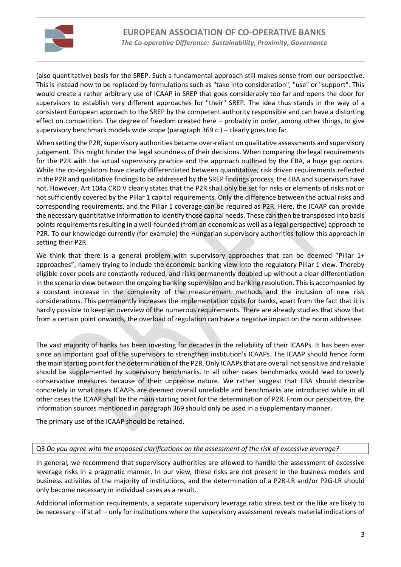

(also quantitative) basis for the SREP. Such a fundamental approach still makes sense from our perspective. This is instead now to be replaced by formulations such as "take into consideration", "use" or "support". This would create a rather arbitrary use of ICAAP in SREP that goes considerably too far and opens the door for supervisors to establish very different approaches for "their" SREP. The idea thus stands in the way of a consistent European approach to the SREP by the competent authority responsible and can have a distorting effect on competition. The degree of freedom created here – probably in order, among other things, to give supervisory benchmark models wide scope (paragraph 369 c.) – clearly goes too far.

When setting the P2R, supervisory authorities became over-reliant on qualitative assessments and supervisory judgement. This might hinder the legal soundness of their decisions. When comparing the legal requirements for the P2R with the actual supervisory practice and the approach outlined by the EBA, a huge gap occurs. While the co-legislators have clearly differentiated between quantitative, risk driven requirements reflected in the P2R and qualitative findings to be addressed by the SREP findings process, the EBA and supervisors have not. However, Art 104a CRD V clearly states that the P2R shall only be set for risks or elements of risks not or not sufficiently covered by the Pillar 1 capital requirements. Only the difference between the actual risks and corresponding requirements, and the Pillar 1 coverage can be required as P2R. Here, the ICAAP can provide the necessary quantitative information to identify those capital needs. These can then be transposed into basis points requirements resulting in a well-founded (from an economic as well as a legal perspective) approach to P2R. To our knowledge currently (for example) the Hungarian supervisory authorities follow this approach in setting their P2R.

We think that there is a general problem with supervisory approaches that can be deemed "Pillar 1+ approaches", namely trying to include the economic banking view into the regulatory Pillar 1 view. Thereby eligible cover pools are constantly reduced, and risks permanently doubled up without a clear differentiation in the scenario view between the ongoing banking supervision and banking resolution. This is accompanied by a constant increase in the complexity of the measurement methods and the inclusion of new risk considerations. This permanently increases the implementation costs for banks, apart from the fact that it is hardly possible to keep an overview of the numerous requirements. There are already studies that show that from a certain point onwards, the overload of regulation can have a negative impact on the norm addressee.

The vast majority of banks has been investing for decades in the reliability of their ICAAPs. It has been ever since an important goal of the supervisors to strengthen institution's ICAAPs. The ICAAP should hence form the main starting point for the determination of the P2R. Only ICAAPs that are overall not sensitive and reliable should be supplemented by supervisory benchmarks. In all other cases benchmarks would lead to overly conservative measures because of their unprecise nature. We rather suggest that EBA should describe concretely in what cases ICAAPs are deemed overall unreliable and benchmarks are introduced while in all other cases the ICAAP shall be the main starting point for the determination of P2R. From our perspective, the information sources mentioned in paragraph 369 should only be used in a supplementary manner.

The primary use of the ICAAP should be retained.

#### Q3 *Do you agree with the proposed clarifications on the assessment of the risk of excessive leverage?*

In general, we recommend that supervisory authorities are allowed to handle the assessment of excessive leverage risks in a pragmatic manner. In our view, these risks are not present in the business models and business activities of the majority of institutions, and the determination of a P2R-LR and/or P2G-LR should only become necessary in individual cases as a result.

Additional information requirements, a separate supervisory leverage ratio stress test or the like are likely to be necessary – if at all – only for institutions where the supervisory assessment reveals material indications of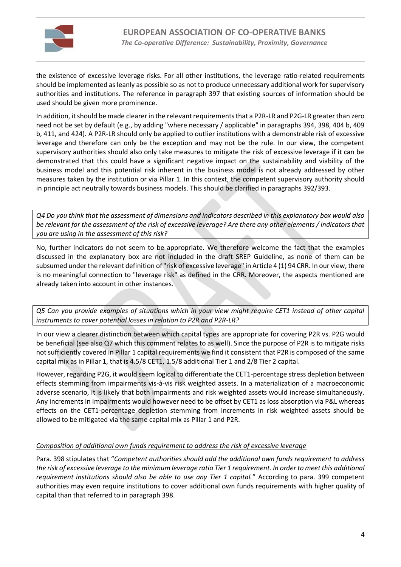

the existence of excessive leverage risks. For all other institutions, the leverage ratio-related requirements should be implemented as leanly as possible so as not to produce unnecessary additional work for supervisory authorities and institutions. The reference in paragraph 397 that existing sources of information should be used should be given more prominence.

In addition, it should be made clearer in the relevant requirements that a P2R-LR and P2G-LR greater than zero need not be set by default (e.g., by adding "where necessary / applicable" in paragraphs 394, 398, 404 b, 409 b, 411, and 424). A P2R-LR should only be applied to outlier institutions with a demonstrable risk of excessive leverage and therefore can only be the exception and may not be the rule. In our view, the competent supervisory authorities should also only take measures to mitigate the risk of excessive leverage if it can be demonstrated that this could have a significant negative impact on the sustainability and viability of the business model and this potential risk inherent in the business model is not already addressed by other measures taken by the institution or via Pillar 1. In this context, the competent supervisory authority should in principle act neutrally towards business models. This should be clarified in paragraphs 392/393.

*Q4 Do you think that the assessment of dimensions and indicators described in this explanatory box would also be relevant for the assessment of the risk of excessive leverage? Are there any other elements / indicators that you are using in the assessment of this risk?*

No, further indicators do not seem to be appropriate. We therefore welcome the fact that the examples discussed in the explanatory box are not included in the draft SREP Guideline, as none of them can be subsumed under the relevant definition of "risk of excessive leverage" in Article 4 (1) 94 CRR. In our view, there is no meaningful connection to "leverage risk" as defined in the CRR. Moreover, the aspects mentioned are already taken into account in other instances.

*Q5 Can you provide examples of situations which in your view might require CET1 instead of other capital instruments to cover potential losses in relation to P2R and P2R-LR?*

In our view a clearer distinction between which capital types are appropriate for covering P2R vs. P2G would be beneficial (see also Q7 which this comment relates to as well). Since the purpose of P2R is to mitigate risks not sufficiently covered in Pillar 1 capital requirements we find it consistent that P2R is composed of the same capital mix as in Pillar 1, that is 4.5/8 CET1, 1.5/8 additional Tier 1 and 2/8 Tier 2 capital.

However, regarding P2G, it would seem logical to differentiate the CET1-percentage stress depletion between effects stemming from impairments vis-à-vis risk weighted assets. In a materialization of a macroeconomic adverse scenario, it is likely that both impairments and risk weighted assets would increase simultaneously. Any increments in impairments would however need to be offset by CET1 as loss absorption via P&L whereas effects on the CET1-percentage depletion stemming from increments in risk weighted assets should be allowed to be mitigated via the same capital mix as Pillar 1 and P2R.

## *Composition of additional own funds requirement to address the risk of excessive leverage*

Para. 398 stipulates that "*Competent authorities should add the additional own funds requirement to address the risk of excessive leverage to the minimum leverage ratio Tier 1 requirement. In order to meet this additional requirement institutions should also be able to use any Tier 1 capital.*" According to para. 399 competent authorities may even require institutions to cover additional own funds requirements with higher quality of capital than that referred to in paragraph 398.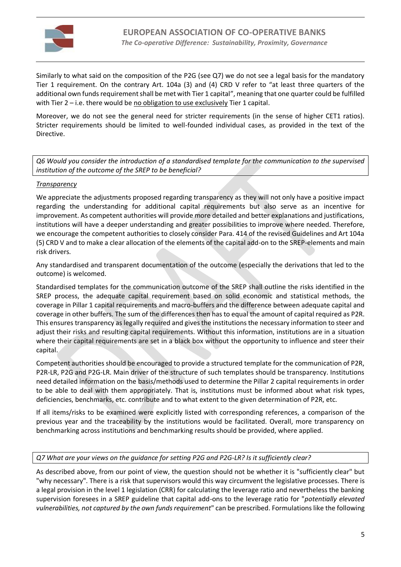

Similarly to what said on the composition of the P2G (see Q7) we do not see a legal basis for the mandatory Tier 1 requirement. On the contrary Art. 104a (3) and (4) CRD V refer to "at least three quarters of the additional own funds requirement shall be met with Tier 1 capital", meaning that one quarter could be fulfilled with Tier  $2 - i.e.$  there would be no obligation to use exclusively Tier 1 capital.

Moreover, we do not see the general need for stricter requirements (in the sense of higher CET1 ratios). Stricter requirements should be limited to well-founded individual cases, as provided in the text of the Directive.

*Q6 Would you consider the introduction of a standardised template for the communication to the supervised institution of the outcome of the SREP to be beneficial?*

### *Transparency*

We appreciate the adjustments proposed regarding transparency as they will not only have a positive impact regarding the understanding for additional capital requirements but also serve as an incentive for improvement. As competent authorities will provide more detailed and better explanations and justifications, institutions will have a deeper understanding and greater possibilities to improve where needed. Therefore, we encourage the competent authorities to closely consider Para. 414 of the revised Guidelines and Art 104a (5) CRD V and to make a clear allocation of the elements of the capital add-on to the SREP-elements and main risk drivers.

Any standardised and transparent documentation of the outcome (especially the derivations that led to the outcome) is welcomed.

Standardised templates for the communication outcome of the SREP shall outline the risks identified in the SREP process, the adequate capital requirement based on solid economic and statistical methods, the coverage in Pillar 1 capital requirements and macro-buffers and the difference between adequate capital and coverage in other buffers. The sum of the differences then has to equal the amount of capital required as P2R. This ensures transparency as legally required and gives the institutions the necessary information to steer and adjust their risks and resulting capital requirements. Without this information, institutions are in a situation where their capital requirements are set in a black box without the opportunity to influence and steer their capital.

Competent authorities should be encouraged to provide a structured template for the communication of P2R, P2R-LR, P2G and P2G-LR. Main driver of the structure of such templates should be transparency. Institutions need detailed information on the basis/methods used to determine the Pillar 2 capital requirements in order to be able to deal with them appropriately. That is, institutions must be informed about what risk types, deficiencies, benchmarks, etc. contribute and to what extent to the given determination of P2R, etc.

If all items/risks to be examined were explicitly listed with corresponding references, a comparison of the previous year and the traceability by the institutions would be facilitated. Overall, more transparency on benchmarking across institutions and benchmarking results should be provided, where applied.

#### *Q7 What are your views on the guidance for setting P2G and P2G-LR? Is it sufficiently clear?*

As described above, from our point of view, the question should not be whether it is "sufficiently clear" but "why necessary". There is a risk that supervisors would this way circumvent the legislative processes. There is a legal provision in the level 1 legislation (CRR) for calculating the leverage ratio and nevertheless the banking supervision foresees in a SREP guideline that capital add-ons to the leverage ratio for "*potentially elevated vulnerabilities, not captured by the own funds requirement*" can be prescribed. Formulations like the following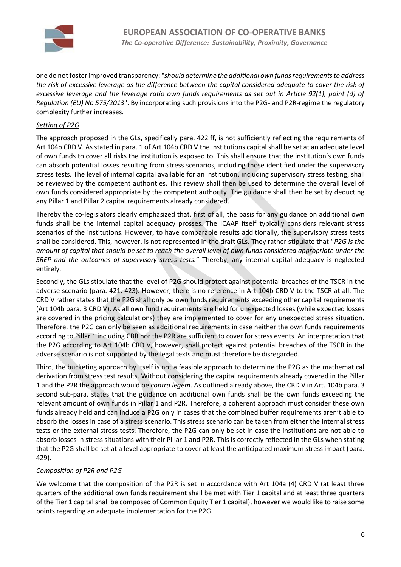

one do not fosterimproved transparency: "*should determine the additional own funds requirements to address the risk of excessive leverage as the difference between the capital considered adequate to cover the risk of excessive leverage and the leverage ratio own funds requirements as set out in Article 92(1), point (d) of Regulation (EU) No 575/2013*". By incorporating such provisions into the P2G- and P2R-regime the regulatory complexity further increases.

# *Setting of P2G*

The approach proposed in the GLs, specifically para. 422 ff, is not sufficiently reflecting the requirements of Art 104b CRD V. As stated in para. 1 of Art 104b CRD V the institutions capital shall be set at an adequate level of own funds to cover all risks the institution is exposed to. This shall ensure that the institution's own funds can absorb potential losses resulting from stress scenarios, including those identified under the supervisory stress tests. The level of internal capital available for an institution, including supervisory stress testing, shall be reviewed by the competent authorities. This review shall then be used to determine the overall level of own funds considered appropriate by the competent authority. The guidance shall then be set by deducting any Pillar 1 and Pillar 2 capital requirements already considered.

Thereby the co-legislators clearly emphasized that, first of all, the basis for any guidance on additional own funds shall be the internal capital adequacy prosses. The ICAAP itself typically considers relevant stress scenarios of the institutions. However, to have comparable results additionally, the supervisory stress tests shall be considered. This, however, is not represented in the draft GLs. They rather stipulate that "*P2G is the amount of capital that should be set to reach the overall level of own funds considered appropriate under the SREP and the outcomes of supervisory stress tests.*" Thereby, any internal capital adequacy is neglected entirely.

Secondly, the GLs stipulate that the level of P2G should protect against potential breaches of the TSCR in the adverse scenario (para. 421, 423). However, there is no reference in Art 104b CRD V to the TSCR at all. The CRD V rather states that the P2G shall only be own funds requirements exceeding other capital requirements (Art 104b para. 3 CRD V). As all own fund requirements are held for unexpected losses (while expected losses are covered in the pricing calculations) they are implemented to cover for any unexpected stress situation. Therefore, the P2G can only be seen as additional requirements in case neither the own funds requirements according to Pillar 1 including CBR nor the P2R are sufficient to cover for stress events. An interpretation that the P2G according to Art 104b CRD V, however, shall protect against potential breaches of the TSCR in the adverse scenario is not supported by the legal texts and must therefore be disregarded.

Third, the bucketing approach by itself is not a feasible approach to determine the P2G as the mathematical derivation from stress test results. Without considering the capital requirements already covered in the Pillar 1 and the P2R the approach would be *contra legem*. As outlined already above, the CRD V in Art. 104b para. 3 second sub-para. states that the guidance on additional own funds shall be the own funds exceeding the relevant amount of own funds in Pillar 1 and P2R. Therefore, a coherent approach must consider these own funds already held and can induce a P2G only in cases that the combined buffer requirements aren't able to absorb the losses in case of a stress scenario. This stress scenario can be taken from either the internal stress tests or the external stress tests. Therefore, the P2G can only be set in case the institutions are not able to absorb losses in stress situations with their Pillar 1 and P2R. This is correctly reflected in the GLs when stating that the P2G shall be set at a level appropriate to cover at least the anticipated maximum stress impact (para. 429).

## *Composition of P2R and P2G*

We welcome that the composition of the P2R is set in accordance with Art 104a (4) CRD V (at least three quarters of the additional own funds requirement shall be met with Tier 1 capital and at least three quarters of the Tier 1 capital shall be composed of Common Equity Tier 1 capital), however we would like to raise some points regarding an adequate implementation for the P2G.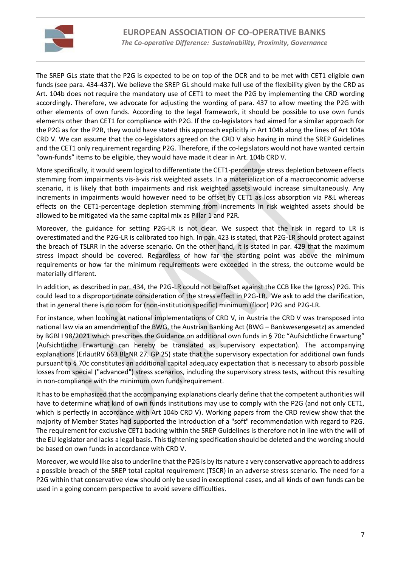

The SREP GLs state that the P2G is expected to be on top of the OCR and to be met with CET1 eligible own funds (see para. 434-437). We believe the SREP GL should make full use of the flexibility given by the CRD as Art. 104b does not require the mandatory use of CET1 to meet the P2G by implementing the CRD wording accordingly. Therefore, we advocate for adjusting the wording of para. 437 to allow meeting the P2G with other elements of own funds. According to the legal framework, it should be possible to use own funds elements other than CET1 for compliance with P2G. If the co-legislators had aimed for a similar approach for the P2G as for the P2R, they would have stated this approach explicitly in Art 104b along the lines of Art 104a CRD V. We can assume that the co-legislators agreed on the CRD V also having in mind the SREP Guidelines and the CET1 only requirement regarding P2G. Therefore, if the co-legislators would not have wanted certain "own-funds" items to be eligible, they would have made it clear in Art. 104b CRD V.

More specifically, it would seem logical to differentiate the CET1-percentage stress depletion between effects stemming from impairments vis-à-vis risk weighted assets. In a materialization of a macroeconomic adverse scenario, it is likely that both impairments and risk weighted assets would increase simultaneously. Any increments in impairments would however need to be offset by CET1 as loss absorption via P&L whereas effects on the CET1-percentage depletion stemming from increments in risk weighted assets should be allowed to be mitigated via the same capital mix as Pillar 1 and P2R.

Moreover, the guidance for setting P2G-LR is not clear. We suspect that the risk in regard to LR is overestimated and the P2G-LR is calibrated too high. In par. 423 is stated, that P2G-LR should protect against the breach of TSLRR in the adverse scenario. On the other hand, it is stated in par. 429 that the maximum stress impact should be covered. Regardless of how far the starting point was above the minimum requirements or how far the minimum requirements were exceeded in the stress, the outcome would be materially different.

In addition, as described in par. 434, the P2G-LR could not be offset against the CCB like the (gross) P2G. This could lead to a disproportionate consideration of the stress effect in P2G-LR. We ask to add the clarification, that in general there is no room for (non-institution specific) minimum (floor) P2G and P2G-LR.

For instance, when looking at national implementations of CRD V, in Austria the CRD V was transposed into national law via an amendment of the BWG, the Austrian Banking Act (BWG – Bankwesengesetz) as amended by BGBl I 98/2021 which prescribes the Guidance on additional own funds in § 70c "Aufsichtliche Erwartung" (Aufsichtliche Erwartung can hereby be translated as supervisory expectation). The accompanying explanations (ErläutRV 663 BlgNR 27. GP 25) state that the supervisory expectation for additional own funds pursuant to § 70c constitutes an additional capital adequacy expectation that is necessary to absorb possible losses from special ("advanced") stress scenarios, including the supervisory stress tests, without this resulting in non-compliance with the minimum own funds requirement.

It has to be emphasized that the accompanying explanations clearly define that the competent authorities will have to determine what kind of own funds institutions may use to comply with the P2G (and not only CET1, which is perfectly in accordance with Art 104b CRD V). Working papers from the CRD review show that the majority of Member States had supported the introduction of a "soft" recommendation with regard to P2G. The requirement for exclusive CET1 backing within the SREP Guidelines is therefore not in line with the will of the EU legislator and lacks a legal basis. This tightening specification should be deleted and the wording should be based on own funds in accordance with CRD V.

Moreover, we would like also to underline that the P2G is by its nature a very conservative approach to address a possible breach of the SREP total capital requirement (TSCR) in an adverse stress scenario. The need for a P2G within that conservative view should only be used in exceptional cases, and all kinds of own funds can be used in a going concern perspective to avoid severe difficulties.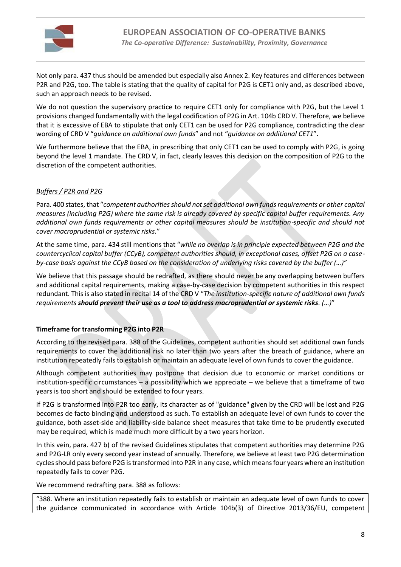

Not only para. 437 thus should be amended but especially also Annex 2. Key features and differences between P2R and P2G, too. The table is stating that the quality of capital for P2G is CET1 only and, as described above, such an approach needs to be revised.

We do not question the supervisory practice to require CET1 only for compliance with P2G, but the Level 1 provisions changed fundamentally with the legal codification of P2G in Art. 104b CRD V. Therefore, we believe that it is excessive of EBA to stipulate that only CET1 can be used for P2G compliance, contradicting the clear wording of CRD V "*guidance on additional own funds*" and not "*guidance on additional CET1*".

We furthermore believe that the EBA, in prescribing that only CET1 can be used to comply with P2G, is going beyond the level 1 mandate. The CRD V, in fact, clearly leaves this decision on the composition of P2G to the discretion of the competent authorities.

# *Buffers / P2R and P2G*

Para. 400 states, that "*competent authorities should not set additional own funds requirements or other capital measures (including P2G) where the same risk is already covered by specific capital buffer requirements. Any additional own funds requirements or other capital measures should be institution-specific and should not cover macroprudential or systemic risks.*"

At the same time, para. 434 still mentions that "*while no overlap is in principle expected between P2G and the countercyclical capital buffer (CCyB), competent authorities should, in exceptional cases, offset P2G on a caseby-case basis against the CCyB based on the consideration of underlying risks covered by the buffer (…)*"

We believe that this passage should be redrafted, as there should never be any overlapping between buffers and additional capital requirements, making a case-by-case decision by competent authorities in this respect redundant. This is also stated in recital 14 of the CRD V "*The institution-specific nature of additional own funds requirements should prevent their use as a tool to address macroprudential or systemic risks. (…)*"

## **Timeframe for transforming P2G into P2R**

According to the revised para. 388 of the Guidelines, competent authorities should set additional own funds requirements to cover the additional risk no later than two years after the breach of guidance, where an institution repeatedly fails to establish or maintain an adequate level of own funds to cover the guidance.

Although competent authorities may postpone that decision due to economic or market conditions or institution-specific circumstances  $-$  a possibility which we appreciate  $-$  we believe that a timeframe of two years is too short and should be extended to four years.

If P2G is transformed into P2R too early, its character as of "guidance" given by the CRD will be lost and P2G becomes de facto binding and understood as such. To establish an adequate level of own funds to cover the guidance, both asset-side and liability-side balance sheet measures that take time to be prudently executed may be required, which is made much more difficult by a two years horizon.

In this vein, para. 427 b) of the revised Guidelines stipulates that competent authorities may determine P2G and P2G-LR only every second year instead of annually. Therefore, we believe at least two P2G determination cycles should pass before P2G is transformed into P2R in any case, which means four years where an institution repeatedly fails to cover P2G.

We recommend redrafting para. 388 as follows:

"388. Where an institution repeatedly fails to establish or maintain an adequate level of own funds to cover the guidance communicated in accordance with Article 104b(3) of Directive 2013/36/EU, competent